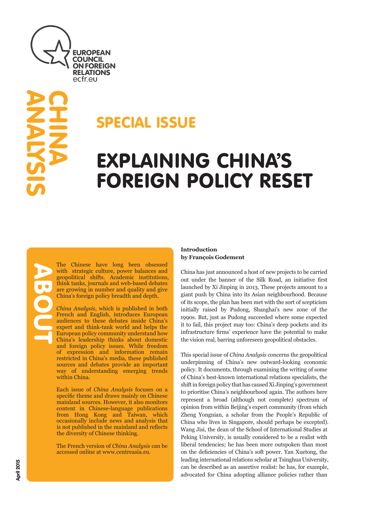

# ANALYSIS **CHINA**

### SPECIAL ISSUE

## EXPLAINING CHINA'S FOREIGN POLICY RESET

The Chinese have long been obsessed with strategic culture, power balances and geopolitical shifts. Academic institutions, think tanks, journals and web-based debates are growing in number and quality and give China's foreign policy breadth and depth.

*China Analysis*, which is published in both French and English, introduces European audiences to these debates inside China's expert and think-tank world and helps the European policy community understand how China's leadership thinks about domestic and foreign policy issues. While freedom of expression and information remain restricted in China's media, these published sources and debates provide an important way of understanding emerging trends within China.

Each issue of *China Analysis* focuses on a specific theme and draws mainly on Chinese mainland sources. However, it also monitors content in Chinese-language publications from Hong Kong and Taiwan, which occasionally include news and analysis that is not published in the mainland and reflects the diversity of Chinese thinking.

The French version of *China Analysis* can be accessed online at www.centreasia.eu.

#### **Introduction by François Godement**

China has just announced a host of new projects to be carried out under the banner of the Silk Road, an initiative first launched by Xi Jinping in 2013. These projects amount to a giant push by China into its Asian neighbourhood. Because of its scope, the plan has been met with the sort of scepticism initially raised by Pudong, Shanghai's new zone of the 1990s. But, just as Pudong succeeded where some expected it to fail, this project may too: China's deep pockets and its infrastructure firms' experience have the potential to make the vision real, barring unforeseen geopolitical obstacles.

This special issue of *China Analysis* concerns the geopolitical underpinning of China's new outward-looking economic policy. It documents, through examining the writing of some of China's best-known international relations specialists, the shift in foreign policy that has caused Xi Jinping's government to prioritise China's neighbourhood again. The authors here represent a broad (although not complete) spectrum of opinion from within Beijing's expert community (from which Zheng Yongnian, a scholar from the People's Republic of China who lives in Singapore, should perhaps be excepted). Wang Jisi, the dean of the School of International Studies at Peking University, is usually considered to be a realist with liberal tendencies; he has been more outspoken than most on the deficiencies of China's soft power. Yan Xuetong, the leading international relations scholar at Tsinghua University, can be described as an assertive realist: he has, for example, advocated for China adopting alliance policies rather than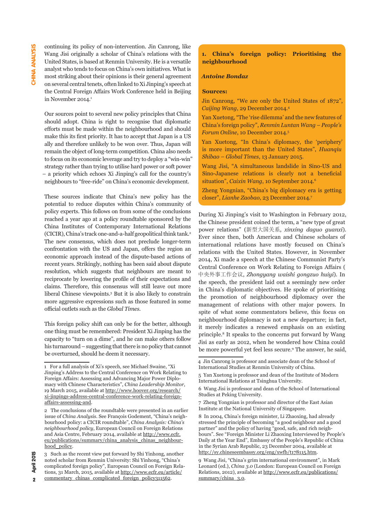continuing its policy of non-intervention. Jin Canrong, like Wang Jisi originally a scholar of China's relations with the United States, is based at Renmin University. He is a versatile analyst who tends to focus on China's own initiatives. What is most striking about their opinions is their general agreement on several central tenets, often linked to Xi Jinping's speech at the Central Foreign Affairs Work Conference held in Beijing in November 2014.<sup>1</sup>

Our sources point to several new policy principles that China should adopt. China is right to recognise that diplomatic efforts must be made within the neighbourhood and should make this its first priority. It has to accept that Japan is a US ally and therefore unlikely to be won over. Thus, Japan will remain the object of long-term competition. China also needs to focus on its economic leverage and try to deploy a "win-win" strategy rather than trying to utilise hard power or soft power – a priority which echoes Xi Jinping's call for the country's neighbours to "free-ride" on China's economic development.

These sources indicate that China's new policy has the potential to reduce disputes within China's community of policy experts. This follows on from some of the conclusions reached a year ago at a policy roundtable sponsored by the China Institutes of Contemporary International Relations (CICIR), China's track one-and-a-half geopolitical think tank.2 The new consensus, which does not preclude longer-term confrontation with the US and Japan, offers the region an economic approach instead of the dispute-based actions of recent years. Strikingly, nothing has been said about dispute resolution, which suggests that neighbours are meant to reciprocate by lowering the profile of their expectations and claims. Therefore, this consensus will still leave out more liberal Chinese viewpoints.3 But it is also likely to constrain more aggressive expressions such as those featured in some official outlets such as the *Global Times*.

This foreign policy shift can only be for the better, although one thing must be remembered: President Xi Jinping has the capacity to "turn on a dime", and he can make others follow his turnaround – suggesting that there is no policy that cannot be overturned, should he deem it necessary.

#### **1. China's foreign policy: Prioritising the neighbourhood**

#### *Antoine Bondaz*

#### **Sources:**

Jin Canrong, "We are only the United States of 1872", *Caijing Wang*, 29 December 2014.4

Yan Xuetong, "The 'rise dilemma' and the new features of China's foreign policy", *Renmin Luntan Wang – People's Forum Online*, 10 December 2014.5

Yan Xuetong, "In China's diplomacy, the 'periphery' is more important than the United States", *Huanqiu Shibao – Global Times*, 13 January 2015.

Wang Jisi, "A simultaneous landslide in Sino-US and Sino-Japanese relations is clearly not a beneficial situation", *Caixin Wang*, 10 September 2014.6

Zheng Yongnian, "China's big diplomacy era is getting closer", *Lianhe Zaobao*, 23 December 2014.7

During Xi Jinping's visit to Washington in February 2012, the Chinese president coined the term, a "new type of great power relations" (新型大国关系, *xinxing daguo guanxi*). Ever since then, both American and Chinese scholars of international relations have mostly focused on China's relations with the United States. However, in November 2014, Xi made a speech at the Chinese Communist Party's Central Conference on Work Relating to Foreign Affairs ( 中央外事工作会议, *Zhongyang waishi gongzuo huiyi*). In the speech, the president laid out a seemingly new order in China's diplomatic objectives. He spoke of prioritising the promotion of neighbourhood diplomacy over the management of relations with other major powers. In spite of what some commentators believe, this focus on neighbourhood diplomacy is not a new departure; in fact, it merely indicates a renewed emphasis on an existing principle.8 It speaks to the concerns put forward by Wang Jisi as early as 2012, when he wondered how China could be more powerful yet feel less secure.9 The answer, he said,

**2015** 

<sup>1</sup> For a full analysis of Xi's speech, see Michael Swaine, "Xi Jinping's Address to the Central Conference on Work Relating to Foreign Affairs: Assessing and Advancing Major Power Diplomacy with Chinese Characteristics", *China Leadership Monitor*, 19 March 2015, available at [http://www.hoover.org/research/](http://www.hoover.org/research/xi-jinpings-address-central-conference-work-relating-foreign-affairs-assessing-and) [xi-jinpings-address-central-conference-work-relating-foreign](http://www.hoover.org/research/xi-jinpings-address-central-conference-work-relating-foreign-affairs-assessing-and)[affairs-assessing-and](http://www.hoover.org/research/xi-jinpings-address-central-conference-work-relating-foreign-affairs-assessing-and).

<sup>2</sup> The conclusions of the roundtable were presented in an earlier issue of *China Analysis*. See François Godement, "China's neighbourhood policy: a CICIR roundtable", *China Analysis: China's neighbourhood policy*, European Council on Foreign Relations and Asia Centre, February 2014, available at [http://www.ecfr.](http://www.ecfr.eu/publications/summary/china_analysis_chinas_neighbourhood_policy) [eu/publications/summary/china\\_analysis\\_chinas\\_neighbour](http://www.ecfr.eu/publications/summary/china_analysis_chinas_neighbourhood_policy)[hood\\_policy](http://www.ecfr.eu/publications/summary/china_analysis_chinas_neighbourhood_policy).

<sup>3</sup> Such as the recent view put forward by Shi Yinhong, another noted scholar from Renmin University: Shi Yinhong, "China's complicated foreign policy", European Council on Foreign Relations, 31 March, 2015, available at [http://www.ecfr.eu/article/](http://www.ecfr.eu/article/commentary_chinas_complicated_foreign_policy311562) [commentary\\_chinas\\_complicated\\_foreign\\_policy311562](http://www.ecfr.eu/article/commentary_chinas_complicated_foreign_policy311562).

<sup>4</sup> Jin Canrong is professor and associate dean of the School of International Studies at Renmin University of China.

<sup>5</sup> Yan Xuetong is professor and dean of the Institute of Modern International Relations at Tsinghua University.

<sup>6</sup> Wang Jisi is professor and dean of the School of International Studies at Peking University.

<sup>7</sup> Zheng Yongnian is professor and director of the East Asian Institute at the National University of Singapore.

<sup>8</sup> In 2004, China's foreign minister, Li Zhaoxing, had already stressed the principle of becoming "a good neighbour and a good partner" and the policy of having "good, safe, and rich neighbours". See "Foreign Minister Li Zhaoxing Interviewed by People's Daily at the Year End", Embassy of the People's Republic of China in the Syrian Arab Republic, 23 December 2004, available at [http://sy.chineseembassy.org/eng/xwfb/t178115.htm.](http://sy.chineseembassy.org/eng/xwfb/t178115.htm)

<sup>9</sup> Wang Jisi, "China's grim international environment", in Mark Leonard (ed.), *China 3.0* (London: European Council on Foreign Relations, 2012), available at [http://www.ecfr.eu/publications/](http://www.ecfr.eu/publications/summary/china_3.0) [summary/china\\_3.0](http://www.ecfr.eu/publications/summary/china_3.0).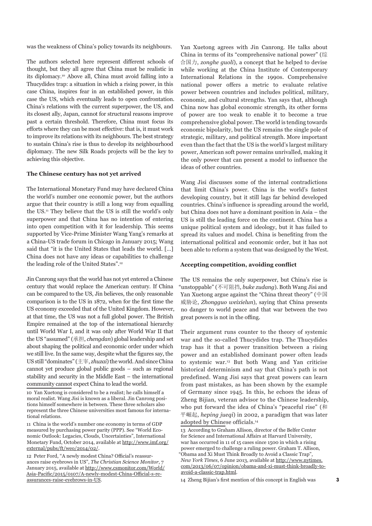was the weakness of China's policy towards its neighbours.

The authors selected here represent different schools of thought, but they all agree that China must be realistic in its diplomacy.10 Above all, China must avoid falling into a Thucydides trap: a situation in which a rising power, in this case China, inspires fear in an established power, in this case the US, which eventually leads to open confrontation. China's relations with the current superpower, the US, and its closest ally, Japan, cannot for structural reasons improve past a certain threshold. Therefore, China must focus its efforts where they can be most effective: that is, it must work to improve its relations with its neighbours. The best strategy to sustain China's rise is thus to develop its neighbourhood diplomacy. The new Silk Roads projects will be the key to achieving this objective.

#### **The Chinese century has not yet arrived**

The International Monetary Fund may have declared China the world's number one economic power, but the authors argue that their country is still a long way from equalling the US.11 They believe that the US is still the world's only superpower and that China has no intention of entering into open competition with it for leadership. This seems supported by Vice-Prime Minister Wang Yang's remarks at a China-US trade forum in Chicago in January 2015; Wang said that "it is the United States that leads the world. […] China does not have any ideas or capabilities to challenge the leading role of the United States".12

Jin Canrong says that the world has not yet entered a Chinese century that would replace the American century. If China can be compared to the US, Jin believes, the only reasonable comparison is to the US in 1872, when for the first time the US economy exceeded that of the United Kingdom. However, at that time, the US was not a full global power. The British Empire remained at the top of the international hierarchy until World War I, and it was only after World War II that the US "assumed" (承担, *chengdan*) global leadership and set about shaping the political and economic order under which we still live. In the same way, despite what the figures say, the US still "dominates" (主宰, *zhuzai*) the world. And since China cannot yet produce global public goods – such as regional stability and security in the Middle East – the international community cannot expect China to lead the world.

10 Yan Xuetong is considered to be a realist; he calls himself a moral realist. Wang Jisi is known as a liberal. Jin Canrong positions himself somewhere in between. These three scholars also represent the three Chinese universities most famous for international relations.

11 China is the world's number one economy in terms of GDP measured by purchasing power parity (PPP). See "World Economic Outlook: Legacies, Clouds, Uncertainties", International Monetary Fund, October 2014, available at [http://www.imf.org/](http://www.imf.org/external/pubs/ft/weo/2014/02/) [external/pubs/ft/weo/2014/02/](http://www.imf.org/external/pubs/ft/weo/2014/02/).

12 Peter Ford, "A newly modest China? Official's reassurances raise eyebrows in US", *The Christian Science Monitor*, 7 January 2015, available at [http://www.csmonitor.com/World/](http://www.csmonitor.com/World/Asia-Pacific/2015/0107/A-newly-modest-China-Official-s-reassurances-raise-eyebrows-in-US) [Asia-Pacific/2015/0107/A-newly-modest-China-Official-s-re](http://www.csmonitor.com/World/Asia-Pacific/2015/0107/A-newly-modest-China-Official-s-reassurances-raise-eyebrows-in-US)[assurances-raise-eyebrows-in-US](http://www.csmonitor.com/World/Asia-Pacific/2015/0107/A-newly-modest-China-Official-s-reassurances-raise-eyebrows-in-US).

Yan Xuetong agrees with Jin Canrong. He talks about China in terms of its "comprehensive national power" (综 合国力, *zonghe guoli*), a concept that he helped to devise while working at the China Institute of Contemporary International Relations in the 1990s. Comprehensive national power offers a metric to evaluate relative power between countries and includes political, military, economic, and cultural strengths. Yan says that, although China now has global economic strength, its other forms of power are too weak to enable it to become a true comprehensive global power. The world is tending towards economic bipolarity, but the US remains the single pole of strategic, military, and political strength. More important even than the fact that the US is the world's largest military power, American soft power remains unrivalled, making it the only power that can present a model to influence the ideas of other countries.

Wang Jisi discusses some of the internal contradictions that limit China's power. China is the world's fastest developing country, but it still lags far behind developed countries. China's influence is spreading around the world, but China does not have a dominant position in Asia – the US is still the leading force on the continent. China has a unique political system and ideology, but it has failed to spread its values and model. China is benefiting from the international political and economic order, but it has not been able to reform a system that was designed by the West.

#### **Accepting competition, avoiding conflict**

The US remains the only superpower, but China's rise is "unstoppable" (不可阻挡, *buke zudang*). Both Wang Jisi and Yan Xuetong argue against the "China threat theory" (中国 威胁论, *Zhongguo weixielun*), saying that China presents no danger to world peace and that war between the two great powers is not in the offing.

Their argument runs counter to the theory of systemic war and the so-called Thucydides trap. The Thucydides trap has it that a power transition between a rising power and an established dominant power often leads to systemic war.13 But both Wang and Yan criticise historical determinism and say that China's path is not predefined. Wang Jisi says that great powers can learn from past mistakes, as has been shown by the example of Germany since 1945. In this, he echoes the ideas of Zheng Bijian, veteran advisor to the Chinese leadership, who put forward the idea of China's "peaceful rise" (和 平崛起, *heping jueqi*) in 2002, a paradigm that was later adopted by Chinese officials.14

<sup>13</sup> According to Graham Allison, director of the Belfer Center for Science and International Affairs at Harvard University, war has occurred in 11 of 15 cases since 1500 in which a rising power emerged to challenge a ruling power. Graham T. Allison, "Obama and Xi Must Think Broadly to Avoid a Classic Trap", *New York Times*, 6 June 2013, available at [http://www.nytimes.](http://www.nytimes.com/2013/06/07/opinion/obama-and-xi-must-think-broadly-to-avoid-a-classic-trap.html) [com/2013/06/07/opinion/obama-and-xi-must-think-broadly-to](http://www.nytimes.com/2013/06/07/opinion/obama-and-xi-must-think-broadly-to-avoid-a-classic-trap.html)[avoid-a-classic-trap.html](http://www.nytimes.com/2013/06/07/opinion/obama-and-xi-must-think-broadly-to-avoid-a-classic-trap.html).

<sup>14</sup> Zheng Bijian's first mention of this concept in English was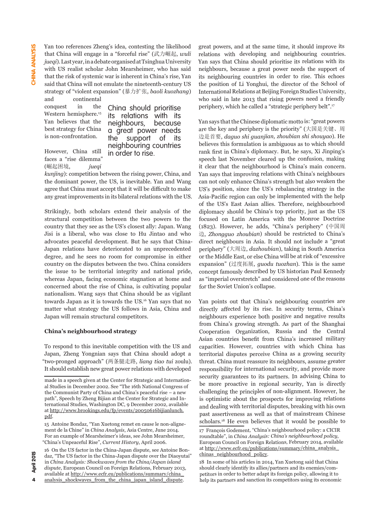Yan too references Zheng's idea, contesting the likelihood that China will engage in a "forceful rise" (武力崛起, *wuli jueqi*). Last year, in a debate organised at Tsinghua University with US realist scholar John Mearsheimer, who has said that the risk of systemic war is inherent in China's rise, Yan said that China will not emulate the nineteenth-century US strategy of "violent expansion" (暴力扩张, *baoli kuozhang*)

and continental conquest in the Western hemisphere.<sup>15</sup> Yan believes that the best strategy for China is non-confrontation.

China should prioritise<br>its relations with its its relations neighbours, because a great power needs the support of its neighbouring countries in order to rise.

However, China still faces a "rise dilemma" (崛起困境, *jueqi* 

*kunjing*): competition between the rising power, China, and the dominant power, the US, is inevitable. Yan and Wang agree that China must accept that it will be difficult to make any great improvements in its bilateral relations with the US.

Strikingly, both scholars extend their analysis of the structural competition between the two powers to the country that they see as the US's closest ally: Japan. Wang Jisi is a liberal, who was close to Hu Jintao and who advocates peaceful development. But he says that China-Japan relations have deteriorated to an unprecedented degree, and he sees no room for compromise in either country on the disputes between the two. China considers the issue to be territorial integrity and national pride, whereas Japan, facing economic stagnation at home and concerned about the rise of China, is cultivating popular nationalism. Wang says that China should be as vigilant towards Japan as it is towards the US.16 Yan says that no matter what strategy the US follows in Asia, China and Japan will remain structural competitors.

#### **China's neighbourhood strategy**

To respond to this inevitable competition with the US and Japan, Zheng Yongnian says that China should adopt a "two-pronged approach" (两条腿走路, *liang tiao tui* zoulu). It should establish new great power relations with developed great powers, and at the same time, it should improve its relations with developing and neighbouring countries. Yan says that China should prioritise its relations with its neighbours, because a great power needs the support of its neighbouring countries in order to rise. This echoes the position of Li Yonghui, the director of the School of International Relations at Beijing Foreign Studies University, who said in late 2013 that rising powers need a friendly periphery, which he called a "strategic periphery belt".<sup>17</sup>

Yan says that the Chinese diplomatic motto is: "great powers are the key and periphery is the priority" (大国是关键、周 边是首要, *daguo shi guanjian, zhoubian shi shouyao*). He believes this formulation is ambiguous as to which should rank first in China's diplomacy. But, he says, Xi Jinping's speech last November cleared up the confusion, making it clear that the neighbourhood is China's main concern. Yan says that improving relations with China's neighbours can not only enhance China's strength but also weaken the US's position, since the US's rebalancing strategy in the Asia-Pacific region can only be implemented with the help of the US's East Asian allies. Therefore, neighbourhood diplomacy should be China's top priority, just as the US focused on Latin America with the Monroe Doctrine (1823). However, he adds, "China's periphery" (中国周 边, *Zhongguo zhoubian*) should be restricted to China's direct neighbours in Asia. It should not include a "great periphery" (大周边, *dazhoubian*), taking in South America or the Middle East, or else China will be at risk of "excessive expansion" (过度拓展, *guodu tuozhan*). This is the same concept famously described by US historian Paul Kennedy as "imperial overstretch" and considered one of the reasons for the Soviet Union's collapse.

Yan points out that China's neighbouring countries are directly affected by its rise. In security terms, China's neighbours experience both positive and negative results from China's growing strength. As part of the Shanghai Cooperation Organization, Russia and the Central Asian countries benefit from China's increased military capacities. However, countries with which China has territorial disputes perceive China as a growing security threat. China must reassure its neighbours, assume greater responsibility for international security, and provide more security guarantees to its partners. In advising China to be more proactive in regional security, Yan is directly challenging the principles of non-alignment. However, he is optimistic about the prospects for improving relations and dealing with territorial disputes, breaking with his own past assertiveness as well as that of mainstream Chinese scholars.<sup>18</sup> He even believes that it would be possible to

made in a speech given at the Center for Strategic and International Studies in December 2002. See "The 16th National Congress of the Communist Party of China and China's peaceful rise – a new path", Speech by Zheng Bijian at the Center for Strategic and International Studies, Washington DC, 9 December 2002, available at [http://www.brookings.edu/fp/events/20050616bijianlunch.](http://www.brookings.edu/fp/events/20050616bijianlunch.pdf) [pdf](http://www.brookings.edu/fp/events/20050616bijianlunch.pdf).

<sup>15</sup> Antoine Bondaz, "Yan Xuetong remet en cause le non-alignement de la Chine" in *China Analysis*, Asia Centre, June 2014. For an example of Mearsheimer's ideas, see John Mearsheimer, "China's Unpeaceful Rise", *Current History*, April 2006.

<sup>16</sup> On the US factor in the China-Japan dispute, see Antoine Bondaz, "The US factor in the China-Japan dispute over the Diaoyutai" in *China Analysis: Shockwaves from the China/Japan island dispute*, European Council on Foreign Relations, February 2013, available at [http://www.ecfr.eu/publications/summary/china\\_](http://www.ecfr.eu/publications/summary/china_analysis_shockwaves_from_the_china_japan_island_dispute) [analysis\\_shockwaves\\_from\\_the\\_china\\_japan\\_island\\_dispute](http://www.ecfr.eu/publications/summary/china_analysis_shockwaves_from_the_china_japan_island_dispute).

<sup>17</sup> François Godement, "China's neighbourhood policy: a CICIR roundtable", in *China Analysis: China's neighbourhood policy*, European Council on Foreign Relations, February 2014, available at [http://www.ecfr.eu/publications/summary/china\\_analysis\\_](http://www.ecfr.eu/publications/summary/china_analysis_chinas_neighbourhood_policy) [chinas\\_neighbourhood\\_policy](http://www.ecfr.eu/publications/summary/china_analysis_chinas_neighbourhood_policy).

<sup>18</sup> In some of his articles in 2014, Yan Xuetong said that China should clearly identify its allies/partners and its enemies/competitors in order to better adapt its foreign policy, allowing it to help its partners and sanction its competitors using its economic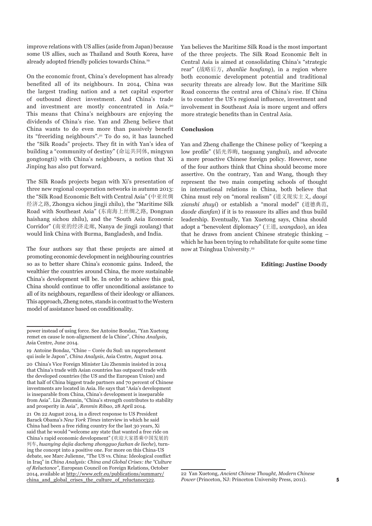improve relations with US allies (aside from Japan) because some US allies, such as Thailand and South Korea, have already adopted friendly policies towards China.19

On the economic front, China's development has already benefited all of its neighbours. In 2014, China was the largest trading nation and a net capital exporter of outbound direct investment. And China's trade and investment are mostly concentrated in Asia.20 This means that China's neighbours are enjoying the dividends of China's rise. Yan and Zheng believe that China wants to do even more than passively benefit its "freeriding neighbours".21 To do so, it has launched the "Silk Roads" projects. They fit in with Yan's idea of building a "community of destiny" (命运共同体, mingyun gongtongti) with China's neighbours, a notion that Xi Jinping has also put forward.

The Silk Roads projects began with Xi's presentation of three new regional cooperation networks in autumn 2013: the "Silk Road Economic Belt with Central Asia" (中亚丝绸 经济之路, Zhongya sichou jingji zhilu), the "Maritime Silk Road with Southeast Asia" (东南海上丝绸之路, Dongnan haishang sichou zhilu), and the "South Asia Economic Corridor" (南亚的经济走廊, Nanya de jingji zoulang) that would link China with Burma, Bangladesh, and India.

The four authors say that these projects are aimed at promoting economic development in neighbouring countries so as to better share China's economic gains. Indeed, the wealthier the countries around China, the more sustainable China's development will be. In order to achieve this goal, China should continue to offer unconditional assistance to all of its neighbours, regardless of their ideology or alliances. This approach, Zheng notes, stands in contrast to the Western model of assistance based on conditionality.

21 On 22 August 2014, in a direct response to US President Barack Obama's *New York Times* interview in which he said China had been a free riding country for the last 30 years, Xi said that he would "welcome any state that wanted a free ride on China's rapid economic development" (欢迎大家搭乘中国发展的 列车, *huanying dajia dacheng zhongguo fazhan de lieche*), turning the concept into a positive one. For more on this China-US debate, see Marc Julienne, "The US vs. China: Ideological conflict in Iraq" in *China Analysis: China and Global Crises: the "Culture of Reluctance"*, European Council on Foreign Relations, October 2014, available at [http://www.ecfr.eu/publications/summary/](http://www.ecfr.eu/publications/summary/china_and_global_crises_the_culture_of_reluctance322) [china\\_and\\_global\\_crises\\_the\\_culture\\_of\\_reluctance322](http://www.ecfr.eu/publications/summary/china_and_global_crises_the_culture_of_reluctance322).

Yan believes the Maritime Silk Road is the most important of the three projects. The Silk Road Economic Belt in Central Asia is aimed at consolidating China's "strategic rear" (战略后方, *zhanlüe houfang*), in a region where both economic development potential and traditional security threats are already low. But the Maritime Silk Road concerns the central area of China's rise. If China is to counter the US's regional influence, investment and involvement in Southeast Asia is more urgent and offers more strategic benefits than in Central Asia.

#### **Conclusion**

Yan and Zheng challenge the Chinese policy of "keeping a low profile" (韬光养晦, taoguang yanghui), and advocate a more proactive Chinese foreign policy. However, none of the four authors think that China should become more assertive. On the contrary, Yan and Wang, though they represent the two main competing schools of thought in international relations in China, both believe that China must rely on "moral realism" (道义现实主义, *daoyi xianshi zhuyi*) or establish a "moral model" (道德典范, *daode dianfan*) if it is to reassure its allies and thus build leadership. Eventually, Yan Xuetong says, China should adopt a "benevolent diplomacy" (王道, *wangdao*), an idea that he draws from ancient Chinese strategic thinking – which he has been trying to rehabilitate for quite some time now at Tsinghua University.22

#### **Editing: Justine Doody**

power instead of using force. See Antoine Bondaz, "Yan Xuetong remet en cause le non-alignement de la Chine", *China Analysis*, Asia Centre, June 2014.

<sup>19</sup> Antoine Bondaz, "Chine – Corée du Sud: un rapprochement qui isole le Japon", *China Analysis*, Asia Centre, August 2014.

<sup>20</sup> China's Vice Foreign Minister Liu Zhenmin insisted in 2014 that China's trade with Asian countries has outpaced trade with the developed countries (the US and the European Union) and that half of China biggest trade partners and 70 percent of Chinese investments are located in Asia. He says that "Asia's development is inseparable from China, China's development is inseparable from Asia". Liu Zhenmin, "China's strength contributes to stability and prosperity in Asia", *Renmin Ribao*, 28 April 2014.

<sup>22</sup> Yan Xuetong, *Ancient Chinese Thought, Modern Chinese Power* (Princeton, NJ: Princeton University Press, 2011).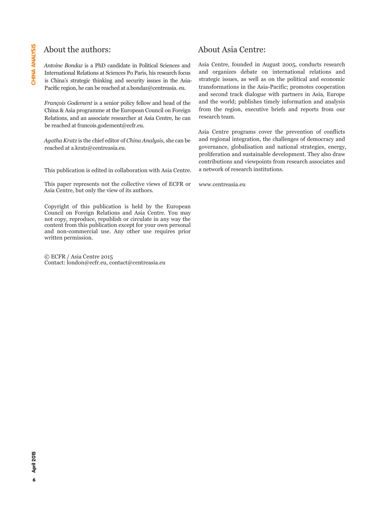#### About the authors:

*Antoine Bondaz* is a PhD candidate in Political Sciences and International Relations at Sciences Po Paris, his research focus is China's strategic thinking and security issues in the Asia-Pacific region, he can be reached at a.bondaz@centreasia. eu.

*François Godement* is a senior policy fellow and head of the China & Asia programme at the European Council on Foreign Relations, and an associate researcher at Asia Centre, he can be reached at [francois.godement@ecfr.eu](mailto:francois.godement%40ecfr.eu?subject=francois.godement%40ecfr.eu).

*Agatha Kratz* is the chief editor of *China Analysis*, she can be reached at [a.kratz@centreasia.eu](mailto:a.kratz%40centreasia.eu?subject=a.kratz%40centreasia.eu).

This publication is edited in collaboration with Asia Centre.

This paper represents not the collective views of ECFR or Asia Centre, but only the view of its authors.

Copyright of this publication is held by the European Council on Foreign Relations and Asia Centre. You may not copy, reproduce, republish or circulate in any way the content from this publication except for your own personal and non-commercial use. Any other use requires prior written permission.

© ECFR / Asia Centre 2015 Contact: london@ecfr.eu, contact@centreasia.eu

#### About Asia Centre:

Asia Centre, founded in August 2005, conducts research and organizes debate on international relations and strategic issues, as well as on the political and economic transformations in the Asia-Pacific; promotes cooperation and second track dialogue with partners in Asia, Europe and the world; publishes timely information and analysis from the region, executive briefs and reports from our research team.

Asia Centre programs cover the prevention of conflicts and regional integration, the challenges of democracy and governance, globalisation and national strategies, energy, proliferation and sustainable development. They also draw contributions and viewpoints from research associates and a network of research institutions.

www.centreasia.eu